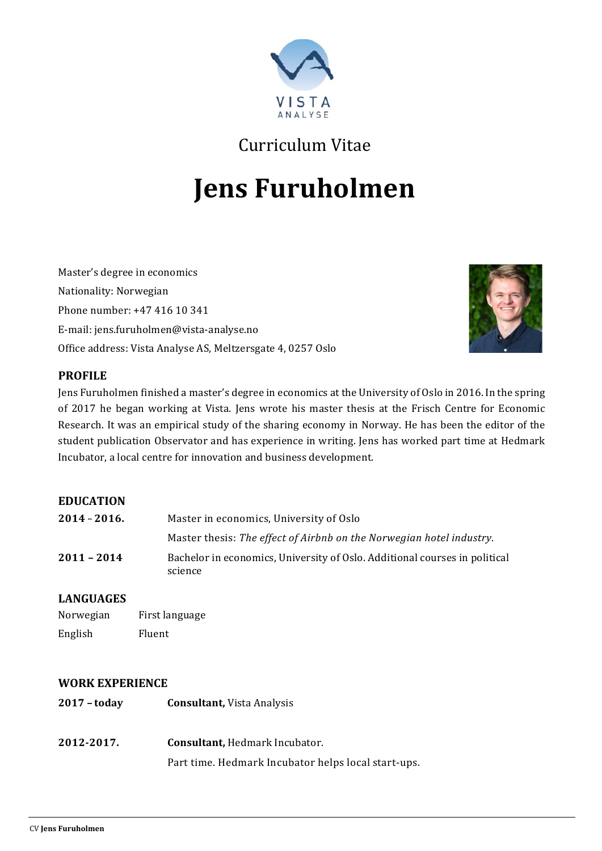

## Curriculum Vitae

# **Jens Furuholmen**

Master's degree in economics Nationality: Norwegian Phone number: +47 416 10 341 E-mail: jens.furuholmen@vista-analyse.no Office address: Vista Analyse AS, Meltzersgate 4, 0257 Oslo



#### **PROFILE**

Jens Furuholmen finished a master's degree in economics at the University of Oslo in 2016. In the spring of 2017 he began working at Vista. Jens wrote his master thesis at the Frisch Centre for Economic Research. It was an empirical study of the sharing economy in Norway. He has been the editor of the student publication Observator and has experience in writing. Jens has worked part time at Hedmark Incubator, a local centre for innovation and business development.

#### **EDUCATION**

| $2014 - 2016.$ | Master in economics, University of Oslo                                               |
|----------------|---------------------------------------------------------------------------------------|
|                | Master thesis: The effect of Airbnb on the Norwegian hotel industry.                  |
| $2011 - 2014$  | Bachelor in economics, University of Oslo. Additional courses in political<br>science |

#### **LANGUAGES**

| Norwegian | First language |
|-----------|----------------|
| English   | Fluent         |

#### **WORK EXPERIENCE**

- **2017 today Consultant**, Vista Analysis
- **2012-2017. Consultant, Hedmark Incubator.**

Part time. Hedmark Incubator helps local start-ups.